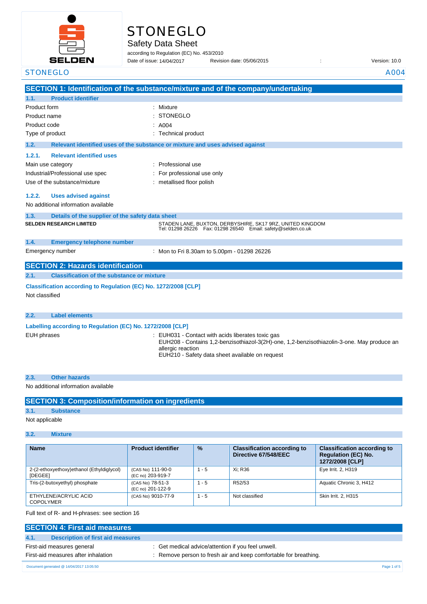

# **STONEGLO**

Safety Data Sheet

according to Regulation (EC) No. 453/2010 Date of issue: 14/04/2017

Date of issue: Revision date: 05/06/2015 : Version: 10.0

| <b>STONEGLO</b>                                                                   |                                                                                                                                                                      | A004 |
|-----------------------------------------------------------------------------------|----------------------------------------------------------------------------------------------------------------------------------------------------------------------|------|
|                                                                                   | SECTION 1: Identification of the substance/mixture and of the company/undertaking                                                                                    |      |
| <b>Product identifier</b><br>1.1.                                                 |                                                                                                                                                                      |      |
| Product form                                                                      | Mixture                                                                                                                                                              |      |
| Product name                                                                      | <b>STONEGLO</b>                                                                                                                                                      |      |
| Product code                                                                      | A004                                                                                                                                                                 |      |
| Type of product                                                                   | : Technical product                                                                                                                                                  |      |
| 1.2.                                                                              | Relevant identified uses of the substance or mixture and uses advised against                                                                                        |      |
| 1.2.1.<br><b>Relevant identified uses</b>                                         |                                                                                                                                                                      |      |
| Main use category                                                                 | Professional use                                                                                                                                                     |      |
| Industrial/Professional use spec                                                  | For professional use only                                                                                                                                            |      |
| Use of the substance/mixture                                                      | : metallised floor polish                                                                                                                                            |      |
| <b>Uses advised against</b><br>1.2.2.                                             |                                                                                                                                                                      |      |
| No additional information available                                               |                                                                                                                                                                      |      |
| 1.3.<br>Details of the supplier of the safety data sheet                          |                                                                                                                                                                      |      |
| <b>SELDEN RESEARCH LIMITED</b>                                                    | STADEN LANE, BUXTON, DERBYSHIRE, SK17 9RZ, UNITED KINGDOM<br>Tel: 01298 26226    Fax: 01298 26540    Email: safety@selden.co.uk                                      |      |
| 1.4.<br><b>Emergency telephone number</b>                                         |                                                                                                                                                                      |      |
| Emergency number                                                                  | : Mon to Fri 8.30am to 5.00pm - 01298 26226                                                                                                                          |      |
| <b>SECTION 2: Hazards identification</b>                                          |                                                                                                                                                                      |      |
| <b>Classification of the substance or mixture</b><br>2.1.                         |                                                                                                                                                                      |      |
| Classification according to Regulation (EC) No. 1272/2008 [CLP]<br>Not classified |                                                                                                                                                                      |      |
| <b>Label elements</b><br>2.2.                                                     |                                                                                                                                                                      |      |
| Labelling according to Regulation (EC) No. 1272/2008 [CLP]                        |                                                                                                                                                                      |      |
| <b>EUH phrases</b>                                                                | : EUH031 - Contact with acids liberates toxic gas<br>EUH208 - Contains 1,2-benzisothiazol-3(2H)-one, 1,2-benzisothiazolin-3-one. May produce an<br>allergic reaction |      |

EUH210 - Safety data sheet available on request

| 2.3. | <b>Other hazards</b> |  |
|------|----------------------|--|
|      |                      |  |

#### No additional information available

| <b>SECTION 3: Composition/information on ingredients</b> |  |  |  |
|----------------------------------------------------------|--|--|--|
|----------------------------------------------------------|--|--|--|

### **3.1. Substance**

Not applicable

### **3.2. Mixture**

| <b>Name</b>                                          | <b>Product identifier</b>              | $\frac{9}{6}$ | <b>Classification according to</b><br>Directive 67/548/EEC | <b>Classification according to</b><br><b>Regulation (EC) No.</b><br>1272/2008 [CLP] |
|------------------------------------------------------|----------------------------------------|---------------|------------------------------------------------------------|-------------------------------------------------------------------------------------|
| 2-(2-ethoxyethoxy)ethanol (Ethyldiglycol)<br>[DEGEE] | (CAS No) 111-90-0<br>(EC no) 203-919-7 | $1 - 5$       | Xi: R36                                                    | Eye Irrit. 2, H319                                                                  |
| Tris-(2-butoxyethyl) phosphate                       | (CAS No) 78-51-3<br>(EC no) 201-122-9  | $1 - 5$       | R52/53                                                     | Aquatic Chronic 3, H412                                                             |
| ETHYLENE/ACRYLIC ACID<br><b>COPOLYMER</b>            | (CAS No) 9010-77-9                     | $1 - 5$       | Not classified                                             | Skin Irrit, 2, H315                                                                 |

Full text of R- and H-phrases: see section 16

| <b>SECTION 4: First aid measures</b>      |                                                                  |             |
|-------------------------------------------|------------------------------------------------------------------|-------------|
| Description of first aid measures<br>4.1. |                                                                  |             |
| First-aid measures general                | : Get medical advice/attention if you feel unwell.               |             |
| First-aid measures after inhalation       | : Remove person to fresh air and keep comfortable for breathing. |             |
| Document generated @ 14/04/2017 13:05:50  |                                                                  | Page 1 of 5 |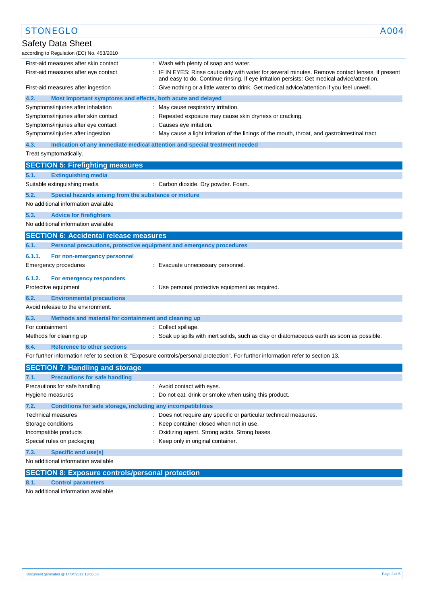| <b>STONEGLO</b>                                                                                                                                                                                                                         | A004 |
|-----------------------------------------------------------------------------------------------------------------------------------------------------------------------------------------------------------------------------------------|------|
| Safety Data Sheet                                                                                                                                                                                                                       |      |
| according to Regulation (EC) No. 453/2010                                                                                                                                                                                               |      |
| First-aid measures after skin contact<br>: Wash with plenty of soap and water.                                                                                                                                                          |      |
| : IF IN EYES: Rinse cautiously with water for several minutes. Remove contact lenses, if present<br>First-aid measures after eye contact<br>and easy to do. Continue rinsing. If eye irritation persists: Get medical advice/attention. |      |
| : Give nothing or a little water to drink. Get medical advice/attention if you feel unwell.<br>First-aid measures after ingestion                                                                                                       |      |
| 4.2.<br>Most important symptoms and effects, both acute and delayed                                                                                                                                                                     |      |
| Symptoms/injuries after inhalation<br>: May cause respiratory irritation.                                                                                                                                                               |      |
| Symptoms/injuries after skin contact<br>Repeated exposure may cause skin dryness or cracking.                                                                                                                                           |      |
| Symptoms/injuries after eye contact<br>: Causes eye irritation.                                                                                                                                                                         |      |
| Symptoms/injuries after ingestion<br>: May cause a light irritation of the linings of the mouth, throat, and gastrointestinal tract.                                                                                                    |      |
| 4.3.<br>Indication of any immediate medical attention and special treatment needed                                                                                                                                                      |      |
| Treat symptomatically.                                                                                                                                                                                                                  |      |
| <b>SECTION 5: Firefighting measures</b>                                                                                                                                                                                                 |      |
| 5.1.<br><b>Extinguishing media</b>                                                                                                                                                                                                      |      |
| Suitable extinguishing media<br>: Carbon dioxide. Dry powder. Foam.                                                                                                                                                                     |      |
|                                                                                                                                                                                                                                         |      |
| 5.2.<br>Special hazards arising from the substance or mixture                                                                                                                                                                           |      |
| No additional information available                                                                                                                                                                                                     |      |
| 5.3.<br><b>Advice for firefighters</b>                                                                                                                                                                                                  |      |
| No additional information available                                                                                                                                                                                                     |      |
| <b>SECTION 6: Accidental release measures</b>                                                                                                                                                                                           |      |
| Personal precautions, protective equipment and emergency procedures<br>6.1.                                                                                                                                                             |      |
| 6.1.1.<br>For non-emergency personnel                                                                                                                                                                                                   |      |
| Emergency procedures<br>: Evacuate unnecessary personnel.                                                                                                                                                                               |      |
|                                                                                                                                                                                                                                         |      |
| 6.1.2.<br>For emergency responders                                                                                                                                                                                                      |      |
| Protective equipment<br>: Use personal protective equipment as required.                                                                                                                                                                |      |
| 6.2.<br><b>Environmental precautions</b>                                                                                                                                                                                                |      |
| Avoid release to the environment.                                                                                                                                                                                                       |      |
| 6.3.<br>Methods and material for containment and cleaning up                                                                                                                                                                            |      |
| For containment<br>: Collect spillage.                                                                                                                                                                                                  |      |
| Methods for cleaning up<br>: Soak up spills with inert solids, such as clay or diatomaceous earth as soon as possible.                                                                                                                  |      |
| <b>Reference to other sections</b><br>6.4.                                                                                                                                                                                              |      |
| For further information refer to section 8: "Exposure controls/personal protection". For further information refer to section 13.                                                                                                       |      |
| <b>SECTION 7: Handling and storage</b>                                                                                                                                                                                                  |      |
| <b>Precautions for safe handling</b><br>7.1.                                                                                                                                                                                            |      |
| Precautions for safe handling<br>: Avoid contact with eyes.                                                                                                                                                                             |      |
| : Do not eat, drink or smoke when using this product.<br>Hygiene measures                                                                                                                                                               |      |
| 7.2.<br>Conditions for safe storage, including any incompatibilities                                                                                                                                                                    |      |
| : Does not require any specific or particular technical measures.<br>Technical measures                                                                                                                                                 |      |
| Storage conditions<br>: Keep container closed when not in use.                                                                                                                                                                          |      |
| Oxidizing agent. Strong acids. Strong bases.<br>Incompatible products                                                                                                                                                                   |      |
| Special rules on packaging<br>: Keep only in original container.                                                                                                                                                                        |      |
| 7.3.<br><b>Specific end use(s)</b>                                                                                                                                                                                                      |      |
| No additional information available                                                                                                                                                                                                     |      |
|                                                                                                                                                                                                                                         |      |
| <b>SECTION 8: Exposure controls/personal protection</b>                                                                                                                                                                                 |      |
| <b>Control parameters</b><br>8.1.                                                                                                                                                                                                       |      |

No additional information available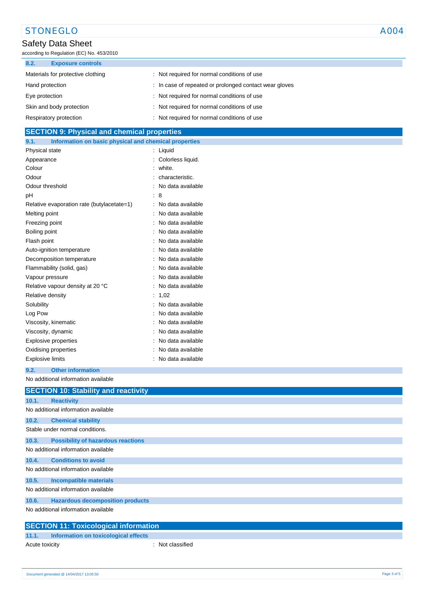# STONEGLO A004

## Safety Data Sheet

according to Regulation (EC) No. 453/2010

| 8.2.<br><b>Exposure controls</b>  |                                                        |
|-----------------------------------|--------------------------------------------------------|
| Materials for protective clothing | : Not required for normal conditions of use            |
| Hand protection                   | : In case of repeated or prolonged contact wear gloves |
| Eye protection                    | : Not required for normal conditions of use            |
| Skin and body protection          | : Not required for normal conditions of use            |
| Respiratory protection            | Not required for normal conditions of use              |

### **SECTION 9: Physical and chemical properties**

| 9.1.<br>Information on basic physical and chemical properties |   |                   |
|---------------------------------------------------------------|---|-------------------|
| Physical state                                                | ÷ | Liquid            |
| Appearance                                                    |   | Colorless liquid. |
| Colour                                                        |   | white.            |
| Odour                                                         |   | characteristic.   |
| Odour threshold                                               |   | No data available |
| рH                                                            |   | 8                 |
| Relative evaporation rate (butylacetate=1)                    |   | No data available |
| Melting point                                                 |   | No data available |
| Freezing point                                                |   | No data available |
| Boiling point                                                 |   | No data available |
| Flash point                                                   |   | No data available |
| Auto-ignition temperature                                     |   | No data available |
| Decomposition temperature                                     |   | No data available |
| Flammability (solid, gas)                                     |   | No data available |
| Vapour pressure                                               |   | No data available |
| Relative vapour density at 20 °C                              |   | No data available |
| Relative density                                              |   | 1,02              |
| Solubility                                                    |   | No data available |
| Log Pow                                                       |   | No data available |
| Viscosity, kinematic                                          |   | No data available |
| Viscosity, dynamic                                            |   | No data available |
| <b>Explosive properties</b>                                   |   | No data available |
| Oxidising properties                                          |   | No data available |
| <b>Explosive limits</b>                                       |   | No data available |

#### **9.2. Other information**

No additional information available

|       | <b>SECTION 10: Stability and reactivity</b>  |
|-------|----------------------------------------------|
| 10.1. | <b>Reactivity</b>                            |
|       | No additional information available          |
| 10.2. | <b>Chemical stability</b>                    |
|       | Stable under normal conditions.              |
| 10.3. | <b>Possibility of hazardous reactions</b>    |
|       | No additional information available          |
| 10.4. | <b>Conditions to avoid</b>                   |
|       | No additional information available          |
| 10.5. | <b>Incompatible materials</b>                |
|       | No additional information available          |
| 10.6. | <b>Hazardous decomposition products</b>      |
|       | No additional information available          |
|       | <b>SECTION 11: Toxicological information</b> |

### **11.1. Information on toxicological effects**

| Acute toxicity | : Not classified |
|----------------|------------------|
|                |                  |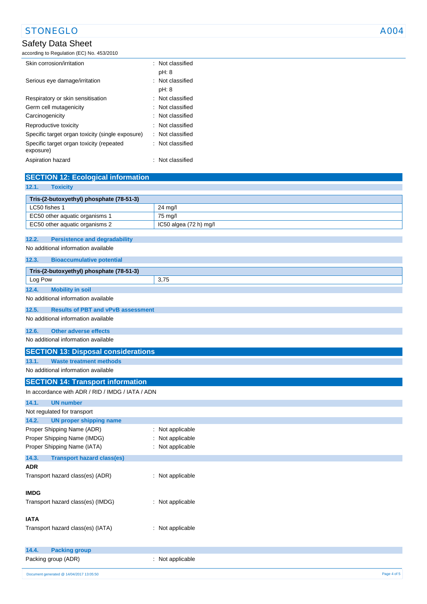# STONEGLO A004

### Safety Data Sheet

according to Regulation (EC) No. 453/2010

| Skin corrosion/irritation                             | : Not classified            |
|-------------------------------------------------------|-----------------------------|
|                                                       | pH: 8                       |
| Serious eye damage/irritation                         | : Not classified            |
|                                                       | pH: 8                       |
| Respiratory or skin sensitisation                     | : Not classified            |
| Germ cell mutagenicity                                | : Not classified            |
| Carcinogenicity                                       | : Not classified            |
| Reproductive toxicity                                 | $\therefore$ Not classified |
| Specific target organ toxicity (single exposure)      | : Not classified            |
| Specific target organ toxicity (repeated<br>exposure) | : Not classified            |
| Aspiration hazard                                     | Not classified              |

| <b>SECTION 12: Ecological information</b>                  |                                    |  |
|------------------------------------------------------------|------------------------------------|--|
| 12.1.<br><b>Toxicity</b>                                   |                                    |  |
| Tris-(2-butoxyethyl) phosphate (78-51-3)                   |                                    |  |
| LC50 fishes 1                                              | 24 mg/l                            |  |
| EC50 other aquatic organisms 1                             | 75 mg/l                            |  |
| EC50 other aquatic organisms 2                             | IC50 algea (72 h) mg/l             |  |
| 12.2.<br><b>Persistence and degradability</b>              |                                    |  |
| No additional information available                        |                                    |  |
|                                                            |                                    |  |
| 12.3.<br><b>Bioaccumulative potential</b>                  |                                    |  |
| Tris-(2-butoxyethyl) phosphate (78-51-3)                   |                                    |  |
| Log Pow                                                    | 3,75                               |  |
| <b>Mobility in soil</b><br>12.4.                           |                                    |  |
| No additional information available                        |                                    |  |
| 12.5.<br><b>Results of PBT and vPvB assessment</b>         |                                    |  |
| No additional information available                        |                                    |  |
| 12.6.<br><b>Other adverse effects</b>                      |                                    |  |
| No additional information available                        |                                    |  |
| <b>SECTION 13: Disposal considerations</b>                 |                                    |  |
| 13.1.<br><b>Waste treatment methods</b>                    |                                    |  |
| No additional information available                        |                                    |  |
| <b>SECTION 14: Transport information</b>                   |                                    |  |
| In accordance with ADR / RID / IMDG / IATA / ADN           |                                    |  |
|                                                            |                                    |  |
| <b>UN number</b><br>14.1.                                  |                                    |  |
| Not regulated for transport                                |                                    |  |
| 14.2.<br><b>UN proper shipping name</b>                    |                                    |  |
| Proper Shipping Name (ADR)                                 | Not applicable<br>÷                |  |
| Proper Shipping Name (IMDG)<br>Proper Shipping Name (IATA) | Not applicable<br>: Not applicable |  |
|                                                            |                                    |  |
| 14.3.<br><b>Transport hazard class(es)</b>                 |                                    |  |
| <b>ADR</b>                                                 |                                    |  |
| Transport hazard class(es) (ADR)                           | : Not applicable                   |  |
| <b>IMDG</b>                                                |                                    |  |
| Transport hazard class(es) (IMDG)                          | : Not applicable                   |  |
|                                                            |                                    |  |
| <b>IATA</b>                                                |                                    |  |
| Transport hazard class(es) (IATA)                          | : Not applicable                   |  |
|                                                            |                                    |  |
| 14.4.<br><b>Packing group</b>                              |                                    |  |
| Packing group (ADR)                                        | : Not applicable                   |  |